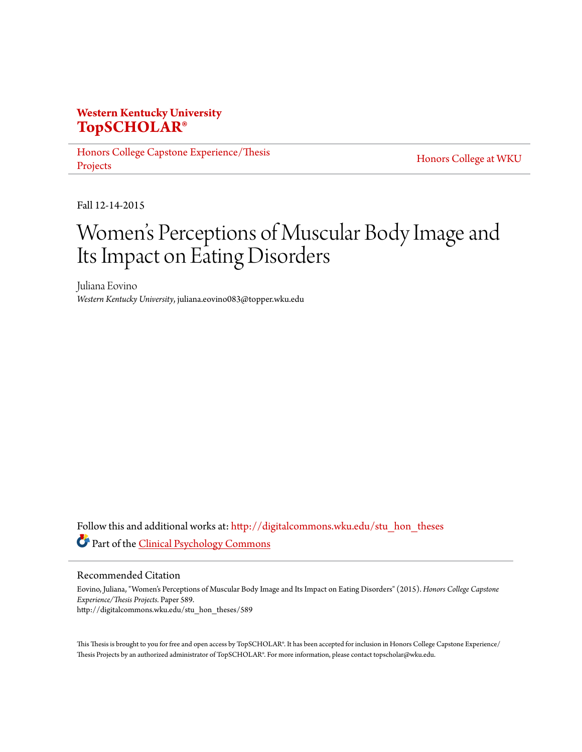# **Western Kentucky University [TopSCHOLAR®](http://digitalcommons.wku.edu?utm_source=digitalcommons.wku.edu%2Fstu_hon_theses%2F589&utm_medium=PDF&utm_campaign=PDFCoverPages)**

[Honors College Capstone Experience/Thesis](http://digitalcommons.wku.edu/stu_hon_theses?utm_source=digitalcommons.wku.edu%2Fstu_hon_theses%2F589&utm_medium=PDF&utm_campaign=PDFCoverPages) [Projects](http://digitalcommons.wku.edu/stu_hon_theses?utm_source=digitalcommons.wku.edu%2Fstu_hon_theses%2F589&utm_medium=PDF&utm_campaign=PDFCoverPages)

[Honors College at WKU](http://digitalcommons.wku.edu/honors_prog?utm_source=digitalcommons.wku.edu%2Fstu_hon_theses%2F589&utm_medium=PDF&utm_campaign=PDFCoverPages)

Fall 12-14-2015

# Women 's Perceptions of Muscular Body Image and Its Impact on Eating Disorders

Juliana Eovino *Western Kentucky University*, juliana.eovino083@topper.wku.edu

Follow this and additional works at: [http://digitalcommons.wku.edu/stu\\_hon\\_theses](http://digitalcommons.wku.edu/stu_hon_theses?utm_source=digitalcommons.wku.edu%2Fstu_hon_theses%2F589&utm_medium=PDF&utm_campaign=PDFCoverPages) Part of the [Clinical Psychology Commons](http://network.bepress.com/hgg/discipline/406?utm_source=digitalcommons.wku.edu%2Fstu_hon_theses%2F589&utm_medium=PDF&utm_campaign=PDFCoverPages)

#### Recommended Citation

Eovino, Juliana, "Women's Perceptions of Muscular Body Image and Its Impact on Eating Disorders" (2015). *Honors College Capstone Experience/Thesis Projects.* Paper 589. http://digitalcommons.wku.edu/stu\_hon\_theses/589

This Thesis is brought to you for free and open access by TopSCHOLAR®. It has been accepted for inclusion in Honors College Capstone Experience/ Thesis Projects by an authorized administrator of TopSCHOLAR®. For more information, please contact topscholar@wku.edu.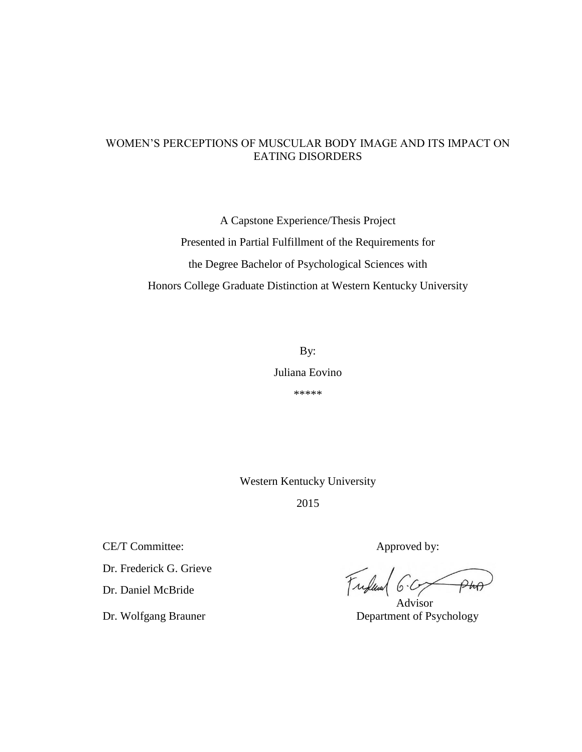### WOMEN'S PERCEPTIONS OF MUSCULAR BODY IMAGE AND ITS IMPACT ON EATING DISORDERS

A Capstone Experience/Thesis Project Presented in Partial Fulfillment of the Requirements for the Degree Bachelor of Psychological Sciences with Honors College Graduate Distinction at Western Kentucky University

> By: Juliana Eovino \*\*\*\*\*

Western Kentucky University

2015

CE/T Committee: Approved by:

Dr. Frederick G. Grieve

Dr. Daniel McBride

Frederick 6.

 Advisor Dr. Wolfgang Brauner Department of Psychology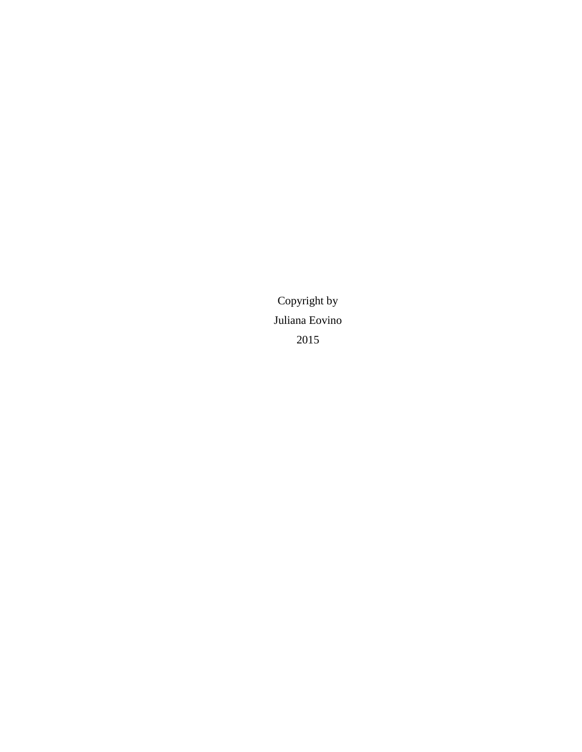Copyright by Juliana Eovino 2015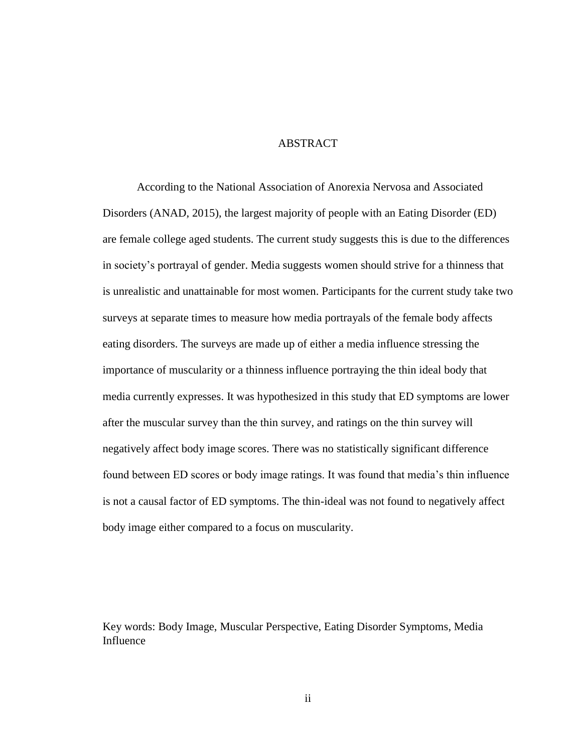### **ABSTRACT**

According to the National Association of Anorexia Nervosa and Associated Disorders (ANAD, 2015), the largest majority of people with an Eating Disorder (ED) are female college aged students. The current study suggests this is due to the differences in society's portrayal of gender. Media suggests women should strive for a thinness that is unrealistic and unattainable for most women. Participants for the current study take two surveys at separate times to measure how media portrayals of the female body affects eating disorders. The surveys are made up of either a media influence stressing the importance of muscularity or a thinness influence portraying the thin ideal body that media currently expresses. It was hypothesized in this study that ED symptoms are lower after the muscular survey than the thin survey, and ratings on the thin survey will negatively affect body image scores. There was no statistically significant difference found between ED scores or body image ratings. It was found that media's thin influence is not a causal factor of ED symptoms. The thin-ideal was not found to negatively affect body image either compared to a focus on muscularity.

Key words: Body Image, Muscular Perspective, Eating Disorder Symptoms, Media Influence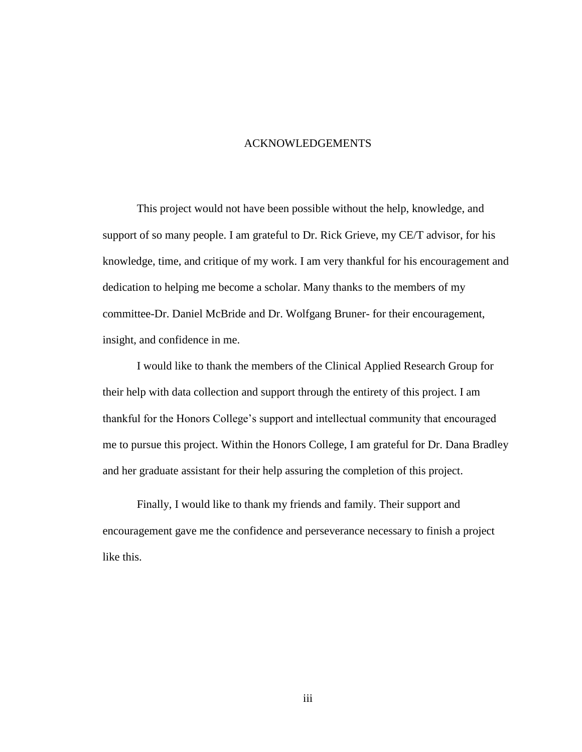#### ACKNOWLEDGEMENTS

This project would not have been possible without the help, knowledge, and support of so many people. I am grateful to Dr. Rick Grieve, my CE/T advisor, for his knowledge, time, and critique of my work. I am very thankful for his encouragement and dedication to helping me become a scholar. Many thanks to the members of my committee-Dr. Daniel McBride and Dr. Wolfgang Bruner- for their encouragement, insight, and confidence in me.

I would like to thank the members of the Clinical Applied Research Group for their help with data collection and support through the entirety of this project. I am thankful for the Honors College's support and intellectual community that encouraged me to pursue this project. Within the Honors College, I am grateful for Dr. Dana Bradley and her graduate assistant for their help assuring the completion of this project.

Finally, I would like to thank my friends and family. Their support and encouragement gave me the confidence and perseverance necessary to finish a project like this.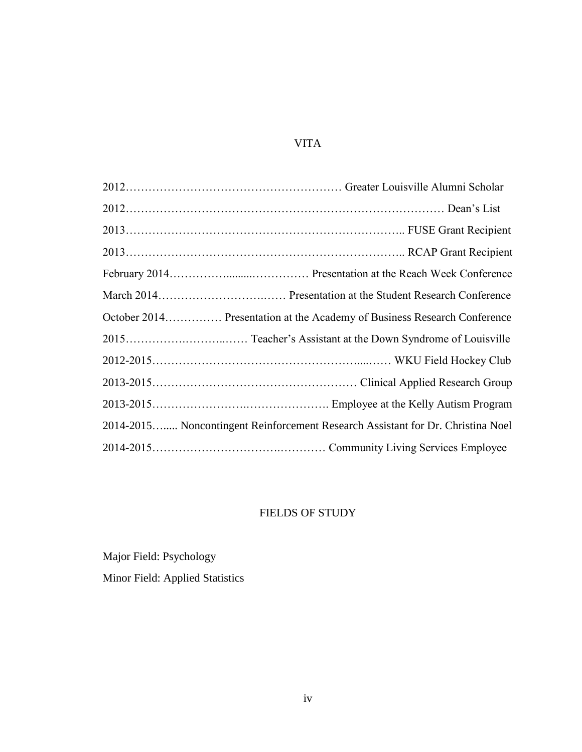# VITA

| October 2014 Presentation at the Academy of Business Research Conference        |
|---------------------------------------------------------------------------------|
|                                                                                 |
|                                                                                 |
|                                                                                 |
|                                                                                 |
| 2014-2015 Noncontingent Reinforcement Research Assistant for Dr. Christina Noel |
|                                                                                 |

# FIELDS OF STUDY

Major Field: Psychology

Minor Field: Applied Statistics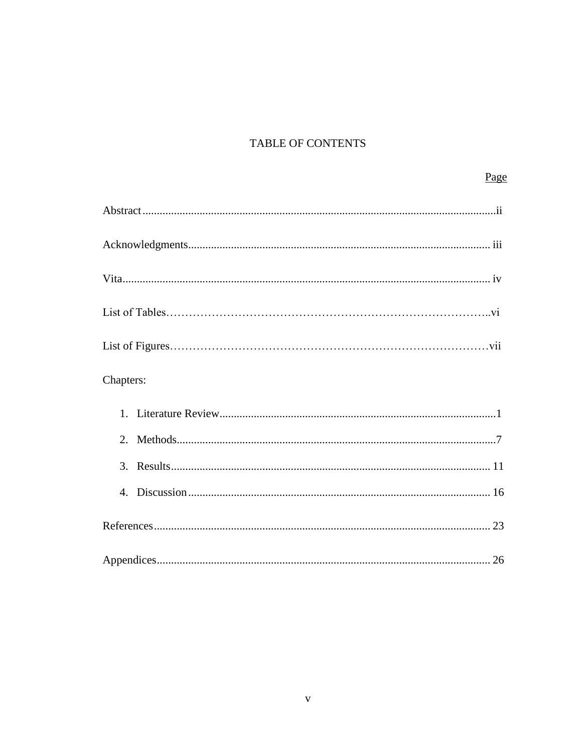# TABLE OF CONTENTS

| Page      |
|-----------|
|           |
|           |
|           |
|           |
|           |
| Chapters: |
|           |
|           |
|           |
| 4.        |
|           |
|           |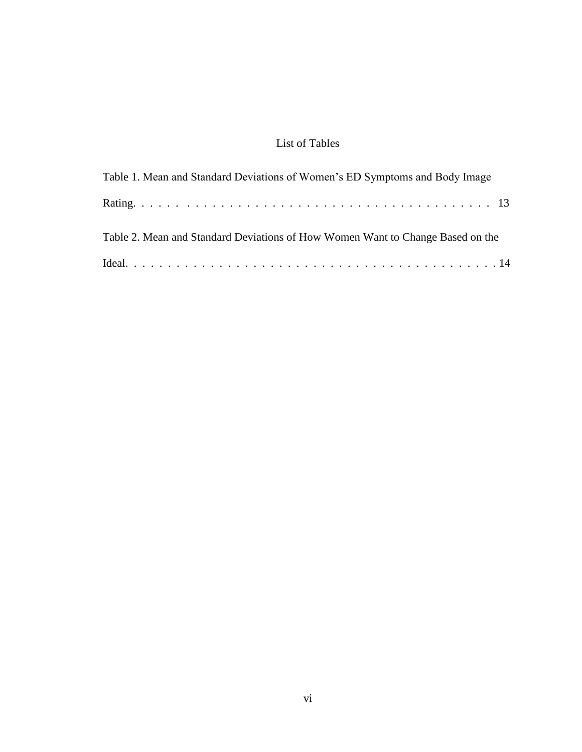# List of Tables

| Table 1. Mean and Standard Deviations of Women's ED Symptoms and Body Image    |
|--------------------------------------------------------------------------------|
|                                                                                |
| Table 2. Mean and Standard Deviations of How Women Want to Change Based on the |
|                                                                                |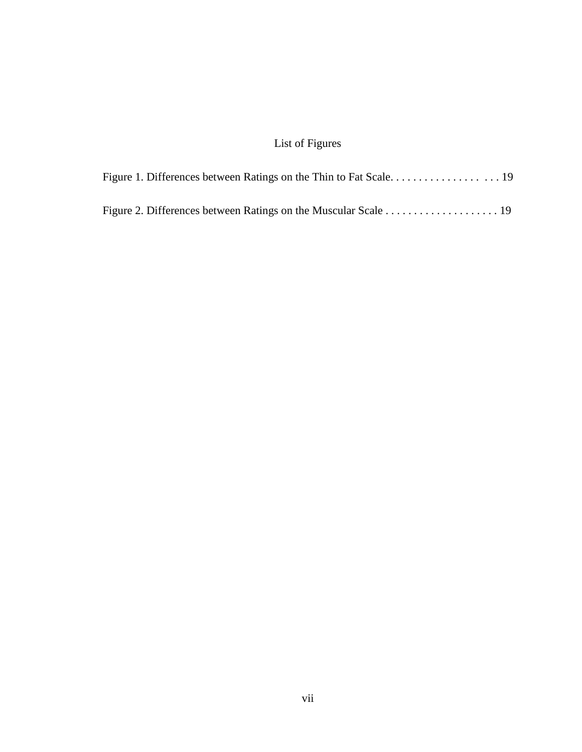# List of Figures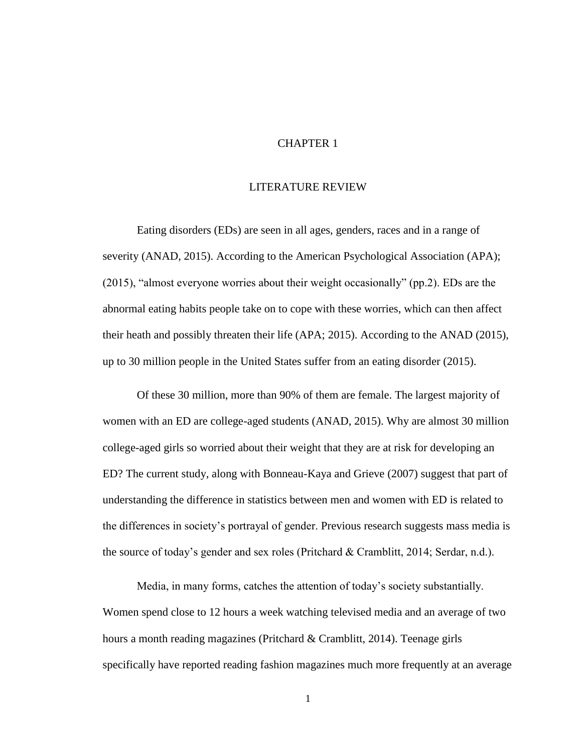### CHAPTER 1

#### LITERATURE REVIEW

Eating disorders (EDs) are seen in all ages, genders, races and in a range of severity (ANAD, 2015). According to the American Psychological Association (APA); (2015), "almost everyone worries about their weight occasionally" (pp.2). EDs are the abnormal eating habits people take on to cope with these worries, which can then affect their heath and possibly threaten their life (APA; 2015). According to the ANAD (2015), up to 30 million people in the United States suffer from an eating disorder (2015).

Of these 30 million, more than 90% of them are female. The largest majority of women with an ED are college-aged students (ANAD, 2015). Why are almost 30 million college-aged girls so worried about their weight that they are at risk for developing an ED? The current study, along with Bonneau-Kaya and Grieve (2007) suggest that part of understanding the difference in statistics between men and women with ED is related to the differences in society's portrayal of gender. Previous research suggests mass media is the source of today's gender and sex roles (Pritchard & Cramblitt, 2014; Serdar, n.d.).

Media, in many forms, catches the attention of today's society substantially. Women spend close to 12 hours a week watching televised media and an average of two hours a month reading magazines (Pritchard & Cramblitt, 2014). Teenage girls specifically have reported reading fashion magazines much more frequently at an average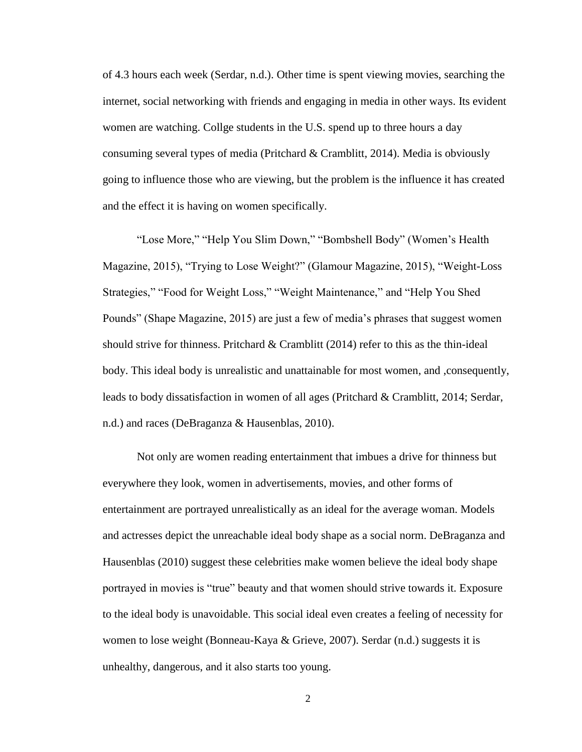of 4.3 hours each week (Serdar, n.d.). Other time is spent viewing movies, searching the internet, social networking with friends and engaging in media in other ways. Its evident women are watching. Collge students in the U.S. spend up to three hours a day consuming several types of media (Pritchard & Cramblitt, 2014). Media is obviously going to influence those who are viewing, but the problem is the influence it has created and the effect it is having on women specifically.

"Lose More," "Help You Slim Down," "Bombshell Body" (Women's Health Magazine, 2015), "Trying to Lose Weight?" (Glamour Magazine, 2015), "Weight-Loss Strategies," "Food for Weight Loss," "Weight Maintenance," and "Help You Shed Pounds" (Shape Magazine, 2015) are just a few of media's phrases that suggest women should strive for thinness. Pritchard & Cramblitt (2014) refer to this as the thin-ideal body. This ideal body is unrealistic and unattainable for most women, and ,consequently, leads to body dissatisfaction in women of all ages (Pritchard & Cramblitt, 2014; Serdar, n.d.) and races (DeBraganza & Hausenblas, 2010).

Not only are women reading entertainment that imbues a drive for thinness but everywhere they look, women in advertisements, movies, and other forms of entertainment are portrayed unrealistically as an ideal for the average woman. Models and actresses depict the unreachable ideal body shape as a social norm. DeBraganza and Hausenblas (2010) suggest these celebrities make women believe the ideal body shape portrayed in movies is "true" beauty and that women should strive towards it. Exposure to the ideal body is unavoidable. This social ideal even creates a feeling of necessity for women to lose weight (Bonneau-Kaya & Grieve, 2007). Serdar (n.d.) suggests it is unhealthy, dangerous, and it also starts too young.

2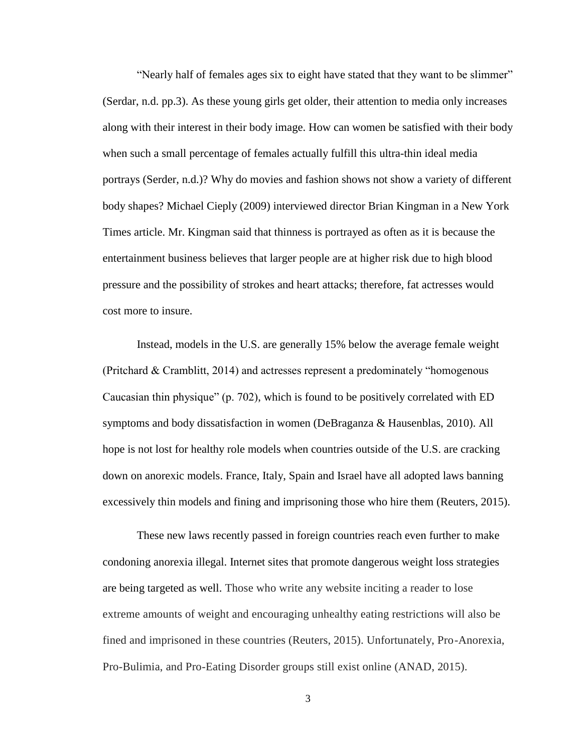"Nearly half of females ages six to eight have stated that they want to be slimmer" (Serdar, n.d. pp.3). As these young girls get older, their attention to media only increases along with their interest in their body image. How can women be satisfied with their body when such a small percentage of females actually fulfill this ultra-thin ideal media portrays (Serder, n.d.)? Why do movies and fashion shows not show a variety of different body shapes? Michael Cieply (2009) interviewed director Brian Kingman in a New York Times article. Mr. Kingman said that thinness is portrayed as often as it is because the entertainment business believes that larger people are at higher risk due to high blood pressure and the possibility of strokes and heart attacks; therefore, fat actresses would cost more to insure.

Instead, models in the U.S. are generally 15% below the average female weight (Pritchard & Cramblitt, 2014) and actresses represent a predominately "homogenous Caucasian thin physique" (p. 702), which is found to be positively correlated with ED symptoms and body dissatisfaction in women (DeBraganza & Hausenblas, 2010). All hope is not lost for healthy role models when countries outside of the U.S. are cracking down on anorexic models. France, Italy, Spain and Israel have all adopted laws banning excessively thin models and fining and imprisoning those who hire them (Reuters, 2015).

These new laws recently passed in foreign countries reach even further to make condoning anorexia illegal. Internet sites that promote dangerous weight loss strategies are being targeted as well. Those who write any website inciting a reader to lose extreme amounts of weight and encouraging unhealthy eating restrictions will also be fined and imprisoned in these countries (Reuters, 2015). Unfortunately, Pro-Anorexia, Pro-Bulimia, and Pro-Eating Disorder groups still exist online (ANAD, 2015).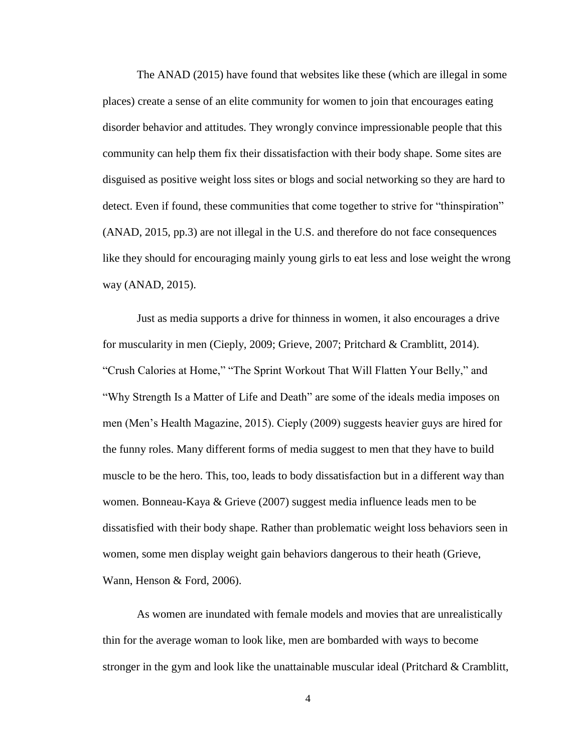The ANAD (2015) have found that websites like these (which are illegal in some places) create a sense of an elite community for women to join that encourages eating disorder behavior and attitudes. They wrongly convince impressionable people that this community can help them fix their dissatisfaction with their body shape. Some sites are disguised as positive weight loss sites or blogs and social networking so they are hard to detect. Even if found, these communities that come together to strive for "thinspiration" (ANAD, 2015, pp.3) are not illegal in the U.S. and therefore do not face consequences like they should for encouraging mainly young girls to eat less and lose weight the wrong way (ANAD, 2015).

Just as media supports a drive for thinness in women, it also encourages a drive for muscularity in men (Cieply, 2009; Grieve, 2007; Pritchard & Cramblitt, 2014). "Crush Calories at Home," "The Sprint Workout That Will Flatten Your Belly," and "Why Strength Is a Matter of Life and Death" are some of the ideals media imposes on men (Men's Health Magazine, 2015). Cieply (2009) suggests heavier guys are hired for the funny roles. Many different forms of media suggest to men that they have to build muscle to be the hero. This, too, leads to body dissatisfaction but in a different way than women. Bonneau-Kaya & Grieve (2007) suggest media influence leads men to be dissatisfied with their body shape. Rather than problematic weight loss behaviors seen in women, some men display weight gain behaviors dangerous to their heath (Grieve, Wann, Henson & Ford, 2006).

As women are inundated with female models and movies that are unrealistically thin for the average woman to look like, men are bombarded with ways to become stronger in the gym and look like the unattainable muscular ideal (Pritchard & Cramblitt,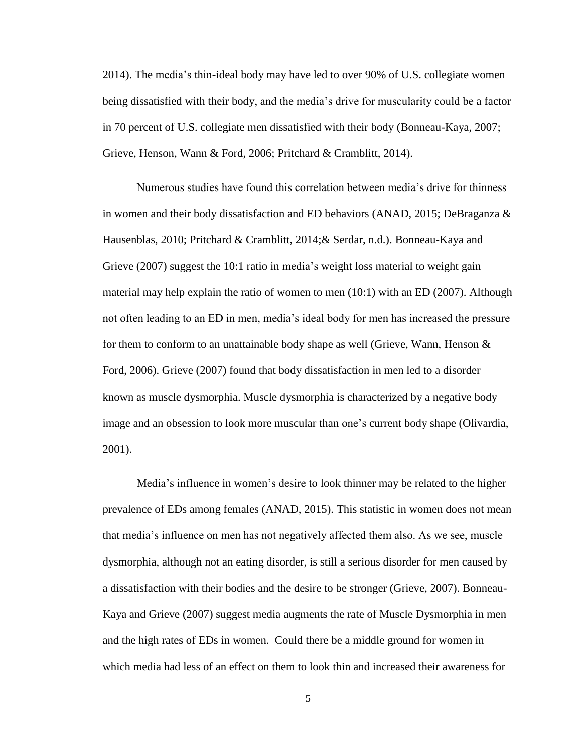2014). The media's thin-ideal body may have led to over 90% of U.S. collegiate women being dissatisfied with their body, and the media's drive for muscularity could be a factor in 70 percent of U.S. collegiate men dissatisfied with their body (Bonneau-Kaya, 2007; Grieve, Henson, Wann & Ford, 2006; Pritchard & Cramblitt, 2014).

Numerous studies have found this correlation between media's drive for thinness in women and their body dissatisfaction and ED behaviors (ANAD, 2015; DeBraganza & Hausenblas, 2010; Pritchard & Cramblitt, 2014;& Serdar, n.d.). Bonneau-Kaya and Grieve (2007) suggest the 10:1 ratio in media's weight loss material to weight gain material may help explain the ratio of women to men (10:1) with an ED (2007). Although not often leading to an ED in men, media's ideal body for men has increased the pressure for them to conform to an unattainable body shape as well (Grieve, Wann, Henson & Ford, 2006). Grieve (2007) found that body dissatisfaction in men led to a disorder known as muscle dysmorphia. Muscle dysmorphia is characterized by a negative body image and an obsession to look more muscular than one's current body shape (Olivardia, 2001).

Media's influence in women's desire to look thinner may be related to the higher prevalence of EDs among females (ANAD, 2015). This statistic in women does not mean that media's influence on men has not negatively affected them also. As we see, muscle dysmorphia, although not an eating disorder, is still a serious disorder for men caused by a dissatisfaction with their bodies and the desire to be stronger (Grieve, 2007). Bonneau-Kaya and Grieve (2007) suggest media augments the rate of Muscle Dysmorphia in men and the high rates of EDs in women. Could there be a middle ground for women in which media had less of an effect on them to look thin and increased their awareness for

5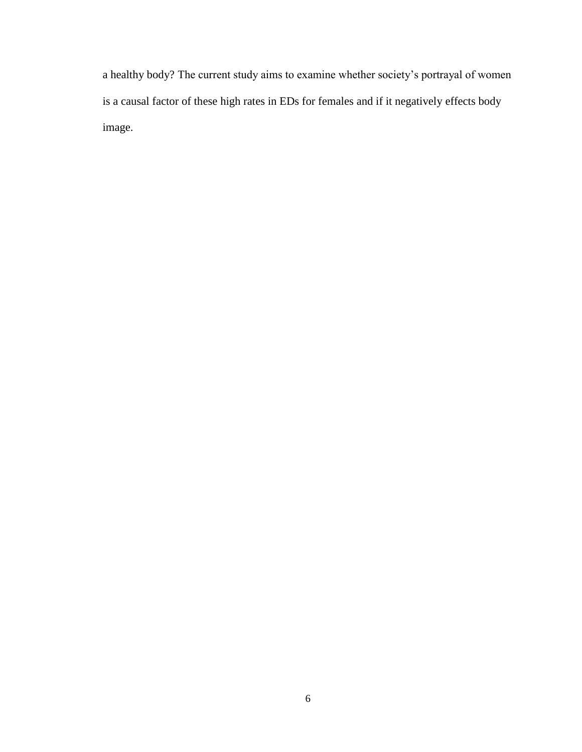a healthy body? The current study aims to examine whether society's portrayal of women is a causal factor of these high rates in EDs for females and if it negatively effects body image.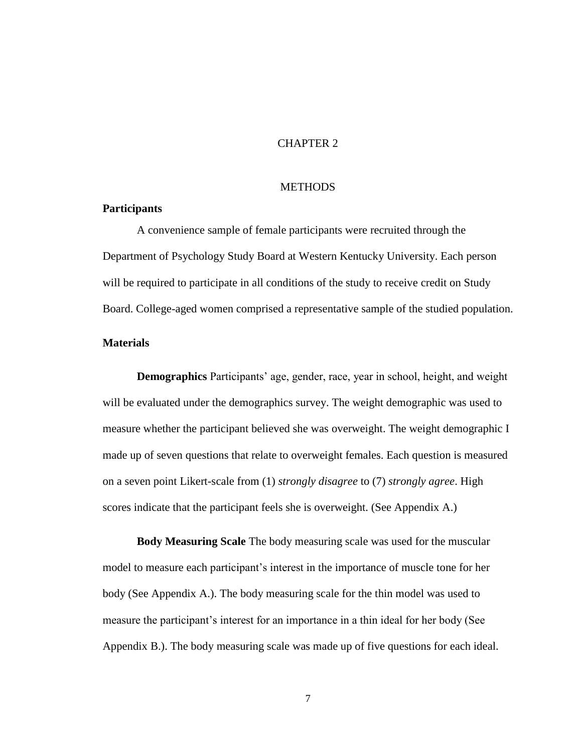### CHAPTER 2

#### **METHODS**

### **Participants**

A convenience sample of female participants were recruited through the Department of Psychology Study Board at Western Kentucky University. Each person will be required to participate in all conditions of the study to receive credit on Study Board. College-aged women comprised a representative sample of the studied population.

#### **Materials**

**Demographics** Participants' age, gender, race, year in school, height, and weight will be evaluated under the demographics survey. The weight demographic was used to measure whether the participant believed she was overweight. The weight demographic I made up of seven questions that relate to overweight females. Each question is measured on a seven point Likert-scale from (1) *strongly disagree* to (7) *strongly agree*. High scores indicate that the participant feels she is overweight. (See Appendix A.)

**Body Measuring Scale** The body measuring scale was used for the muscular model to measure each participant's interest in the importance of muscle tone for her body (See Appendix A.). The body measuring scale for the thin model was used to measure the participant's interest for an importance in a thin ideal for her body (See Appendix B.). The body measuring scale was made up of five questions for each ideal.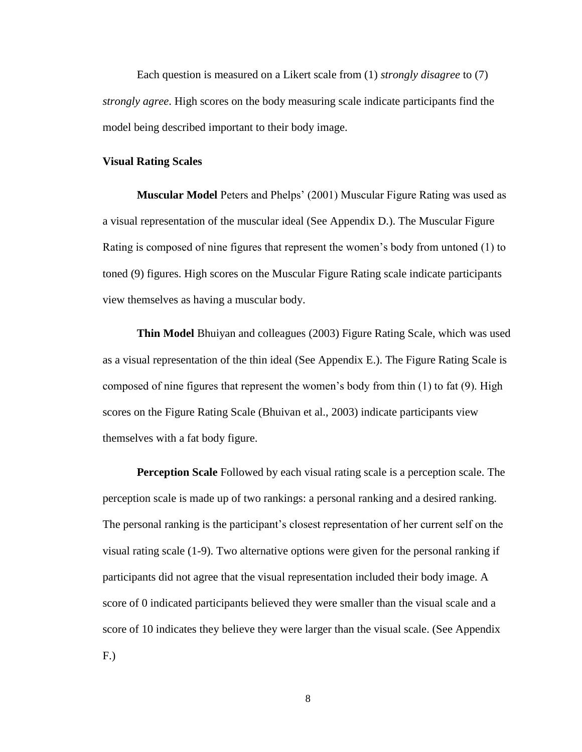Each question is measured on a Likert scale from (1) *strongly disagree* to (7) *strongly agree*. High scores on the body measuring scale indicate participants find the model being described important to their body image.

#### **Visual Rating Scales**

**Muscular Model** Peters and Phelps' (2001) Muscular Figure Rating was used as a visual representation of the muscular ideal (See Appendix D.). The Muscular Figure Rating is composed of nine figures that represent the women's body from untoned (1) to toned (9) figures. High scores on the Muscular Figure Rating scale indicate participants view themselves as having a muscular body.

**Thin Model** Bhuiyan and colleagues (2003) Figure Rating Scale, which was used as a visual representation of the thin ideal (See Appendix E.). The Figure Rating Scale is composed of nine figures that represent the women's body from thin (1) to fat (9). High scores on the Figure Rating Scale (Bhuivan et al., 2003) indicate participants view themselves with a fat body figure.

**Perception Scale** Followed by each visual rating scale is a perception scale. The perception scale is made up of two rankings: a personal ranking and a desired ranking. The personal ranking is the participant's closest representation of her current self on the visual rating scale (1-9). Two alternative options were given for the personal ranking if participants did not agree that the visual representation included their body image. A score of 0 indicated participants believed they were smaller than the visual scale and a score of 10 indicates they believe they were larger than the visual scale. (See Appendix F.)

8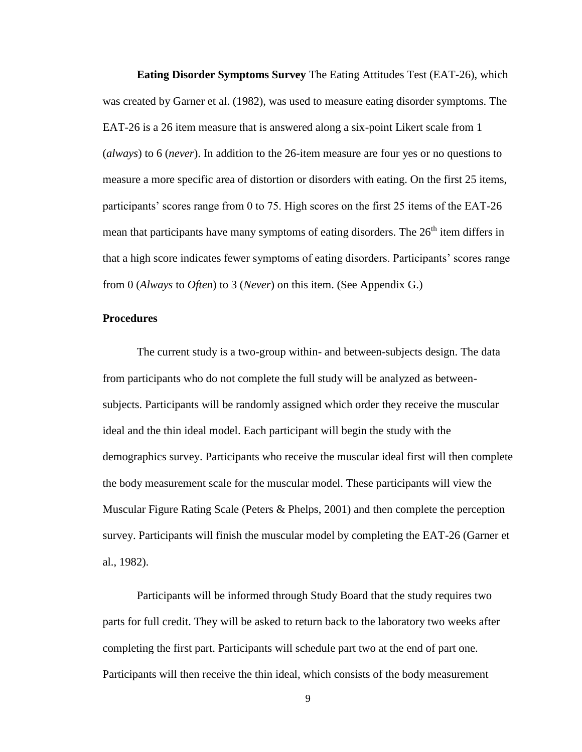**Eating Disorder Symptoms Survey** The Eating Attitudes Test (EAT-26), which was created by Garner et al. (1982), was used to measure eating disorder symptoms. The EAT-26 is a 26 item measure that is answered along a six-point Likert scale from 1 (*always*) to 6 (*never*). In addition to the 26-item measure are four yes or no questions to measure a more specific area of distortion or disorders with eating. On the first 25 items, participants' scores range from 0 to 75. High scores on the first 25 items of the EAT-26 mean that participants have many symptoms of eating disorders. The  $26<sup>th</sup>$  item differs in that a high score indicates fewer symptoms of eating disorders. Participants' scores range from 0 (*Always* to *Often*) to 3 (*Never*) on this item. (See Appendix G.)

#### **Procedures**

The current study is a two-group within- and between-subjects design. The data from participants who do not complete the full study will be analyzed as betweensubjects. Participants will be randomly assigned which order they receive the muscular ideal and the thin ideal model. Each participant will begin the study with the demographics survey. Participants who receive the muscular ideal first will then complete the body measurement scale for the muscular model. These participants will view the Muscular Figure Rating Scale (Peters & Phelps, 2001) and then complete the perception survey. Participants will finish the muscular model by completing the EAT-26 (Garner et al., 1982).

Participants will be informed through Study Board that the study requires two parts for full credit. They will be asked to return back to the laboratory two weeks after completing the first part. Participants will schedule part two at the end of part one. Participants will then receive the thin ideal, which consists of the body measurement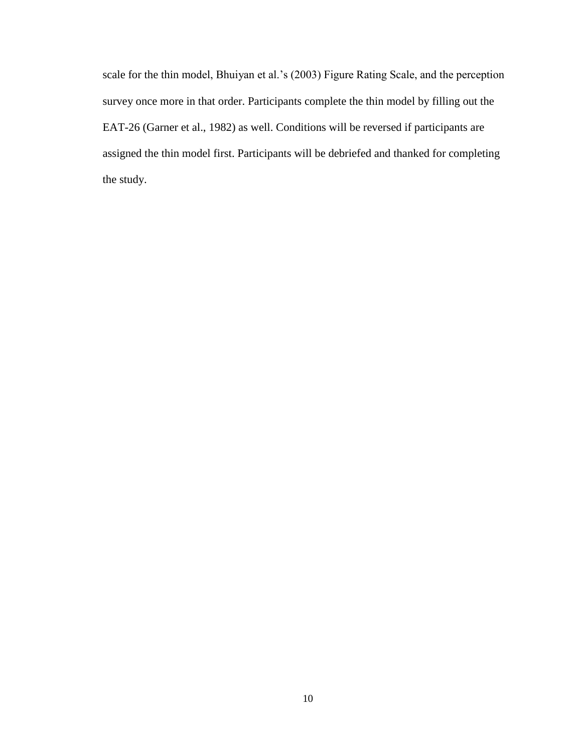scale for the thin model, Bhuiyan et al.'s (2003) Figure Rating Scale, and the perception survey once more in that order. Participants complete the thin model by filling out the EAT-26 (Garner et al., 1982) as well. Conditions will be reversed if participants are assigned the thin model first. Participants will be debriefed and thanked for completing the study.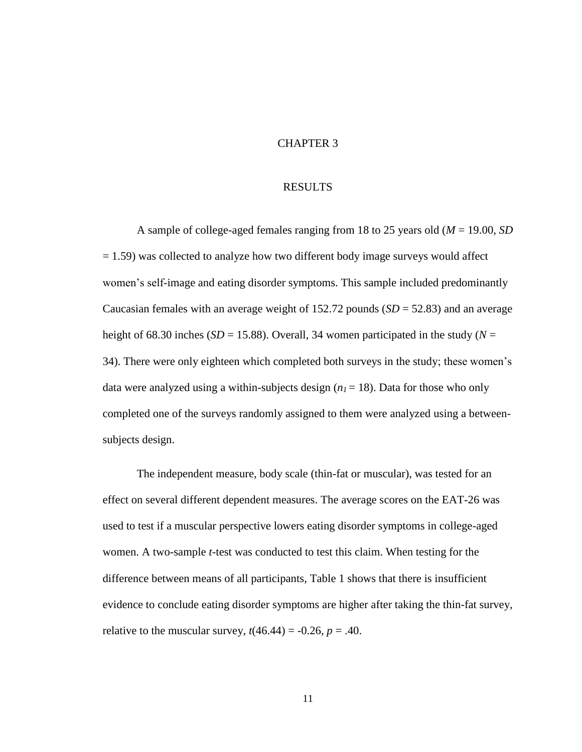### CHAPTER 3

#### RESULTS

A sample of college-aged females ranging from 18 to 25 years old (*M* = 19.00, *SD*  $= 1.59$ ) was collected to analyze how two different body image surveys would affect women's self-image and eating disorder symptoms. This sample included predominantly Caucasian females with an average weight of 152.72 pounds (*SD* = 52.83) and an average height of 68.30 inches ( $SD = 15.88$ ). Overall, 34 women participated in the study ( $N =$ 34). There were only eighteen which completed both surveys in the study; these women's data were analyzed using a within-subjects design  $(n_1 = 18)$ . Data for those who only completed one of the surveys randomly assigned to them were analyzed using a betweensubjects design.

The independent measure, body scale (thin-fat or muscular), was tested for an effect on several different dependent measures. The average scores on the EAT-26 was used to test if a muscular perspective lowers eating disorder symptoms in college-aged women. A two-sample *t*-test was conducted to test this claim. When testing for the difference between means of all participants, Table 1 shows that there is insufficient evidence to conclude eating disorder symptoms are higher after taking the thin-fat survey, relative to the muscular survey,  $t(46.44) = -0.26$ ,  $p = .40$ .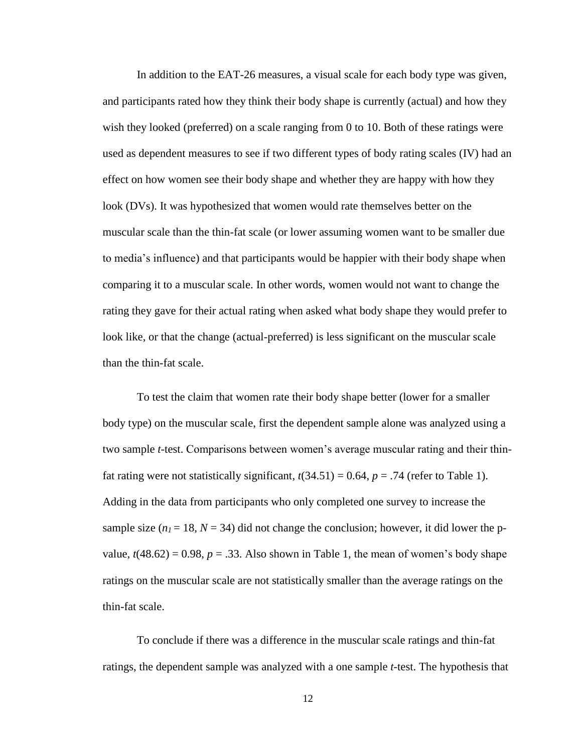In addition to the EAT-26 measures, a visual scale for each body type was given, and participants rated how they think their body shape is currently (actual) and how they wish they looked (preferred) on a scale ranging from 0 to 10. Both of these ratings were used as dependent measures to see if two different types of body rating scales (IV) had an effect on how women see their body shape and whether they are happy with how they look (DVs). It was hypothesized that women would rate themselves better on the muscular scale than the thin-fat scale (or lower assuming women want to be smaller due to media's influence) and that participants would be happier with their body shape when comparing it to a muscular scale. In other words, women would not want to change the rating they gave for their actual rating when asked what body shape they would prefer to look like, or that the change (actual-preferred) is less significant on the muscular scale than the thin-fat scale.

To test the claim that women rate their body shape better (lower for a smaller body type) on the muscular scale, first the dependent sample alone was analyzed using a two sample *t*-test. Comparisons between women's average muscular rating and their thinfat rating were not statistically significant,  $t(34.51) = 0.64$ ,  $p = .74$  (refer to Table 1). Adding in the data from participants who only completed one survey to increase the sample size  $(n_1 = 18, N = 34)$  did not change the conclusion; however, it did lower the pvalue,  $t(48.62) = 0.98$ ,  $p = .33$ . Also shown in Table 1, the mean of women's body shape ratings on the muscular scale are not statistically smaller than the average ratings on the thin-fat scale.

To conclude if there was a difference in the muscular scale ratings and thin-fat ratings, the dependent sample was analyzed with a one sample *t*-test. The hypothesis that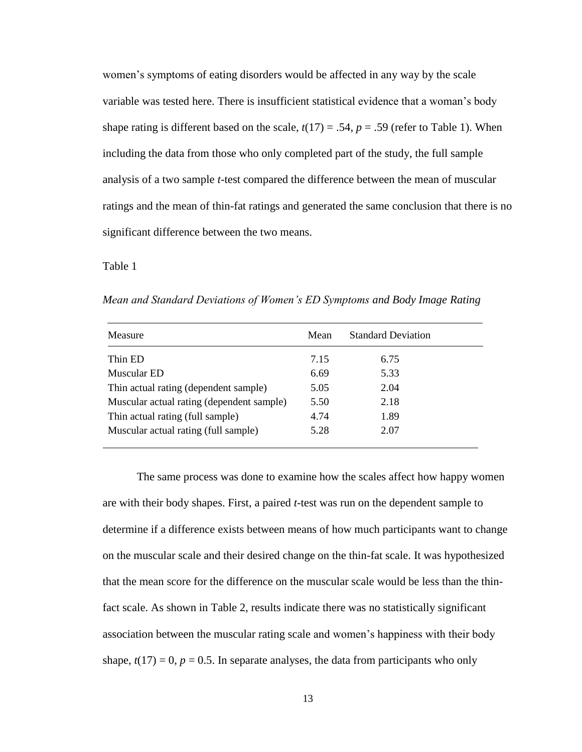women's symptoms of eating disorders would be affected in any way by the scale variable was tested here. There is insufficient statistical evidence that a woman's body shape rating is different based on the scale,  $t(17) = .54$ ,  $p = .59$  (refer to Table 1). When including the data from those who only completed part of the study, the full sample analysis of a two sample *t*-test compared the difference between the mean of muscular ratings and the mean of thin-fat ratings and generated the same conclusion that there is no significant difference between the two means.

Table 1

| Measure                                   | Mean | <b>Standard Deviation</b> |
|-------------------------------------------|------|---------------------------|
| Thin ED                                   | 7.15 | 6.75                      |
| Muscular ED                               | 6.69 | 5.33                      |
| Thin actual rating (dependent sample)     | 5.05 | 2.04                      |
| Muscular actual rating (dependent sample) | 5.50 | 2.18                      |
| Thin actual rating (full sample)          | 4.74 | 1.89                      |
| Muscular actual rating (full sample)      | 5.28 | 2.07                      |

*Mean and Standard Deviations of Women's ED Symptoms and Body Image Rating*

The same process was done to examine how the scales affect how happy women are with their body shapes. First, a paired *t*-test was run on the dependent sample to determine if a difference exists between means of how much participants want to change on the muscular scale and their desired change on the thin-fat scale. It was hypothesized that the mean score for the difference on the muscular scale would be less than the thinfact scale. As shown in Table 2, results indicate there was no statistically significant association between the muscular rating scale and women's happiness with their body shape,  $t(17) = 0$ ,  $p = 0.5$ . In separate analyses, the data from participants who only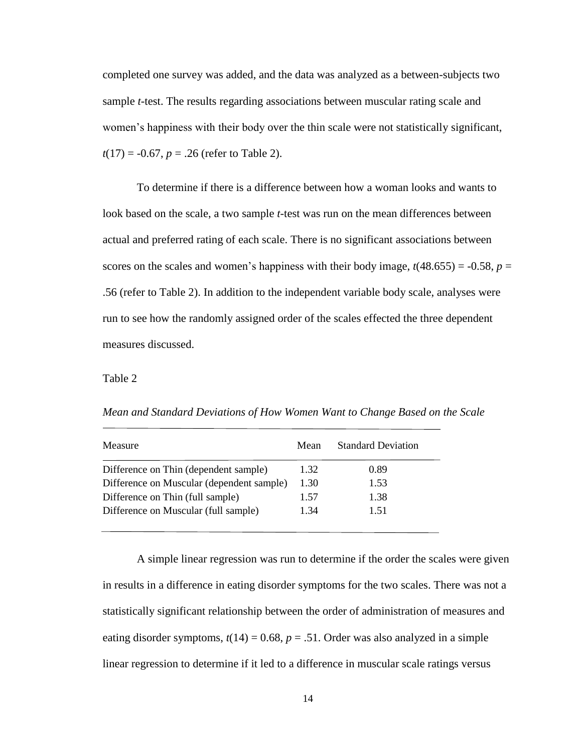completed one survey was added, and the data was analyzed as a between-subjects two sample *t*-test. The results regarding associations between muscular rating scale and women's happiness with their body over the thin scale were not statistically significant,  $t(17) = -0.67$ ,  $p = .26$  (refer to Table 2).

To determine if there is a difference between how a woman looks and wants to look based on the scale, a two sample *t*-test was run on the mean differences between actual and preferred rating of each scale. There is no significant associations between scores on the scales and women's happiness with their body image,  $t(48.655) = -0.58$ ,  $p =$ .56 (refer to Table 2). In addition to the independent variable body scale, analyses were run to see how the randomly assigned order of the scales effected the three dependent measures discussed.

Table 2

*Mean and Standard Deviations of How Women Want to Change Based on the Scale*

| Mean | <b>Standard Deviation</b> |
|------|---------------------------|
| 1.32 | 0.89                      |
| 1.30 | 1.53                      |
| 1.57 | 1.38                      |
| 1.34 | 151                       |
|      |                           |

A simple linear regression was run to determine if the order the scales were given in results in a difference in eating disorder symptoms for the two scales. There was not a statistically significant relationship between the order of administration of measures and eating disorder symptoms,  $t(14) = 0.68$ ,  $p = .51$ . Order was also analyzed in a simple linear regression to determine if it led to a difference in muscular scale ratings versus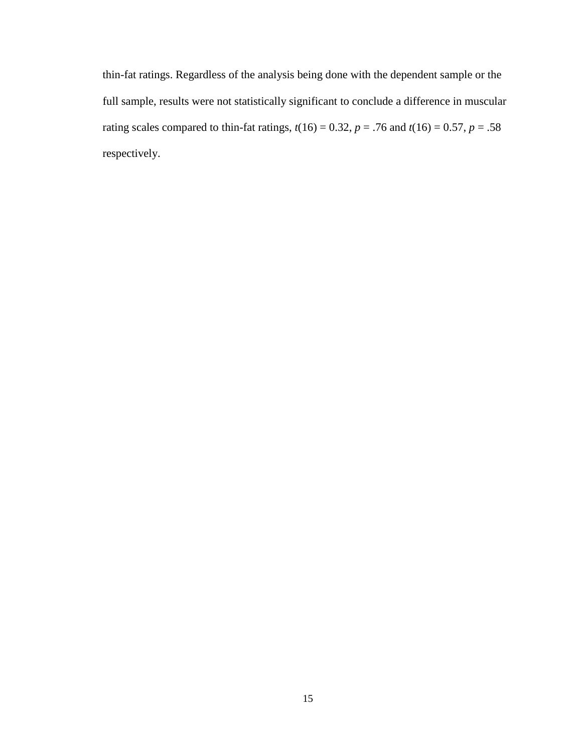thin-fat ratings. Regardless of the analysis being done with the dependent sample or the full sample, results were not statistically significant to conclude a difference in muscular rating scales compared to thin-fat ratings,  $t(16) = 0.32$ ,  $p = .76$  and  $t(16) = 0.57$ ,  $p = .58$ respectively.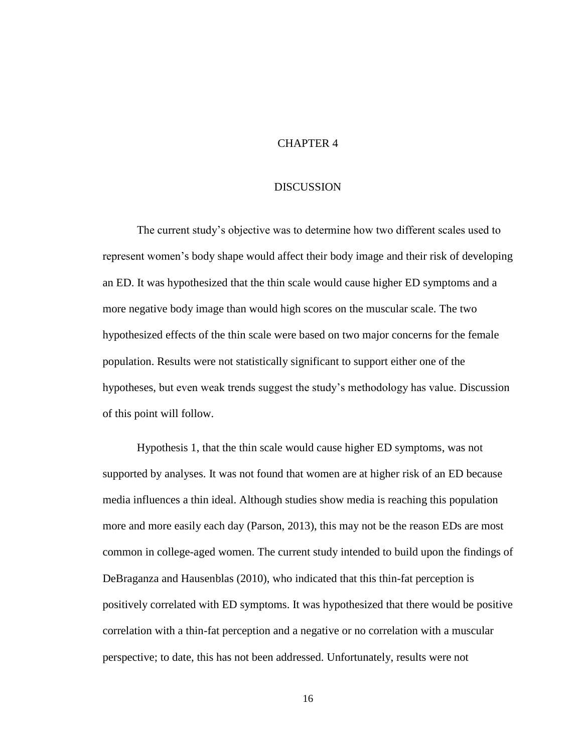### CHAPTER 4

#### DISCUSSION

The current study's objective was to determine how two different scales used to represent women's body shape would affect their body image and their risk of developing an ED. It was hypothesized that the thin scale would cause higher ED symptoms and a more negative body image than would high scores on the muscular scale. The two hypothesized effects of the thin scale were based on two major concerns for the female population. Results were not statistically significant to support either one of the hypotheses, but even weak trends suggest the study's methodology has value. Discussion of this point will follow.

Hypothesis 1, that the thin scale would cause higher ED symptoms, was not supported by analyses. It was not found that women are at higher risk of an ED because media influences a thin ideal. Although studies show media is reaching this population more and more easily each day (Parson, 2013), this may not be the reason EDs are most common in college-aged women. The current study intended to build upon the findings of DeBraganza and Hausenblas (2010), who indicated that this thin-fat perception is positively correlated with ED symptoms. It was hypothesized that there would be positive correlation with a thin-fat perception and a negative or no correlation with a muscular perspective; to date, this has not been addressed. Unfortunately, results were not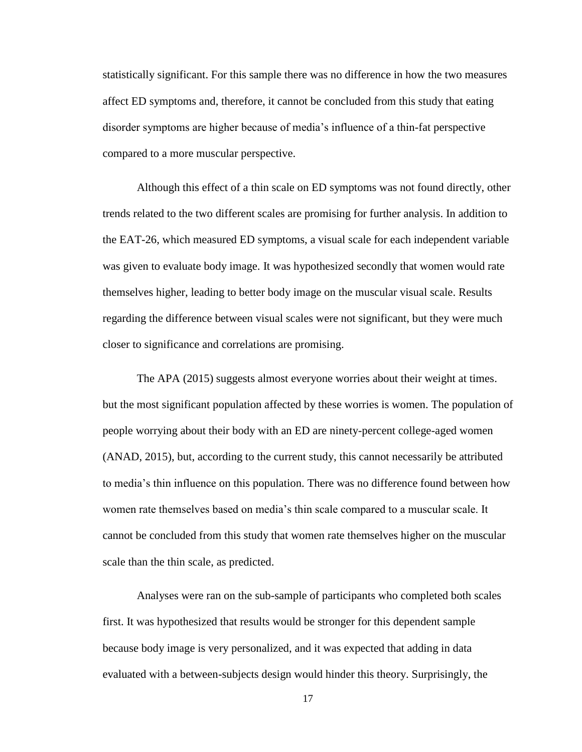statistically significant. For this sample there was no difference in how the two measures affect ED symptoms and, therefore, it cannot be concluded from this study that eating disorder symptoms are higher because of media's influence of a thin-fat perspective compared to a more muscular perspective.

Although this effect of a thin scale on ED symptoms was not found directly, other trends related to the two different scales are promising for further analysis. In addition to the EAT-26, which measured ED symptoms, a visual scale for each independent variable was given to evaluate body image. It was hypothesized secondly that women would rate themselves higher, leading to better body image on the muscular visual scale. Results regarding the difference between visual scales were not significant, but they were much closer to significance and correlations are promising.

The APA (2015) suggests almost everyone worries about their weight at times. but the most significant population affected by these worries is women. The population of people worrying about their body with an ED are ninety-percent college-aged women (ANAD, 2015), but, according to the current study, this cannot necessarily be attributed to media's thin influence on this population. There was no difference found between how women rate themselves based on media's thin scale compared to a muscular scale. It cannot be concluded from this study that women rate themselves higher on the muscular scale than the thin scale, as predicted.

Analyses were ran on the sub-sample of participants who completed both scales first. It was hypothesized that results would be stronger for this dependent sample because body image is very personalized, and it was expected that adding in data evaluated with a between-subjects design would hinder this theory. Surprisingly, the

17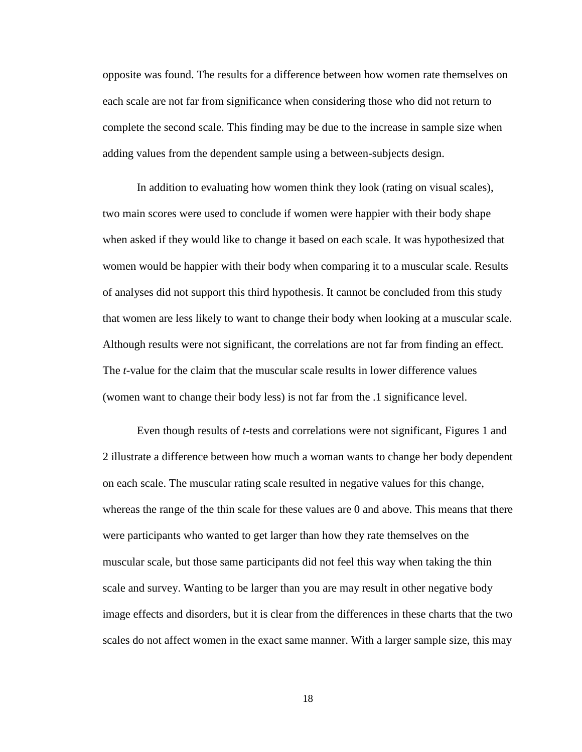opposite was found. The results for a difference between how women rate themselves on each scale are not far from significance when considering those who did not return to complete the second scale. This finding may be due to the increase in sample size when adding values from the dependent sample using a between-subjects design.

In addition to evaluating how women think they look (rating on visual scales), two main scores were used to conclude if women were happier with their body shape when asked if they would like to change it based on each scale. It was hypothesized that women would be happier with their body when comparing it to a muscular scale. Results of analyses did not support this third hypothesis. It cannot be concluded from this study that women are less likely to want to change their body when looking at a muscular scale. Although results were not significant, the correlations are not far from finding an effect. The *t*-value for the claim that the muscular scale results in lower difference values (women want to change their body less) is not far from the .1 significance level.

Even though results of *t*-tests and correlations were not significant, Figures 1 and 2 illustrate a difference between how much a woman wants to change her body dependent on each scale. The muscular rating scale resulted in negative values for this change, whereas the range of the thin scale for these values are 0 and above. This means that there were participants who wanted to get larger than how they rate themselves on the muscular scale, but those same participants did not feel this way when taking the thin scale and survey. Wanting to be larger than you are may result in other negative body image effects and disorders, but it is clear from the differences in these charts that the two scales do not affect women in the exact same manner. With a larger sample size, this may

18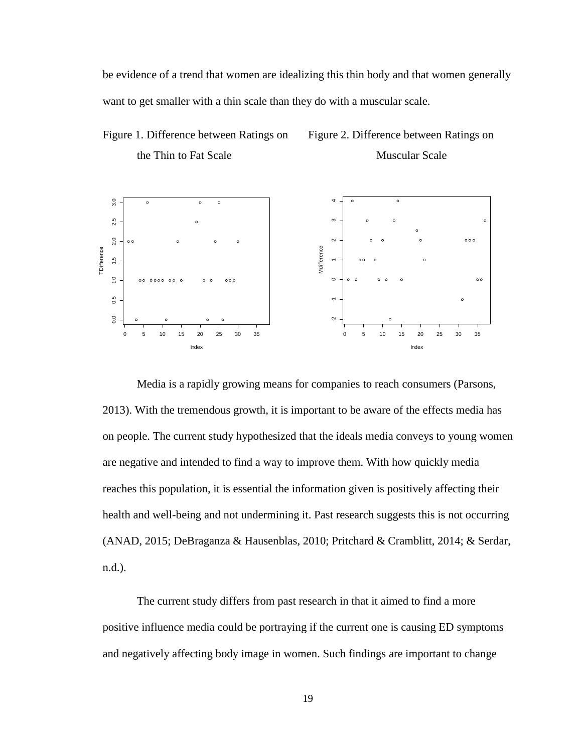be evidence of a trend that women are idealizing this thin body and that women generally want to get smaller with a thin scale than they do with a muscular scale.





Media is a rapidly growing means for companies to reach consumers (Parsons, 2013). With the tremendous growth, it is important to be aware of the effects media has on people. The current study hypothesized that the ideals media conveys to young women are negative and intended to find a way to improve them. With how quickly media reaches this population, it is essential the information given is positively affecting their health and well-being and not undermining it. Past research suggests this is not occurring (ANAD, 2015; DeBraganza & Hausenblas, 2010; Pritchard & Cramblitt, 2014; & Serdar, n.d.).

The current study differs from past research in that it aimed to find a more positive influence media could be portraying if the current one is causing ED symptoms and negatively affecting body image in women. Such findings are important to change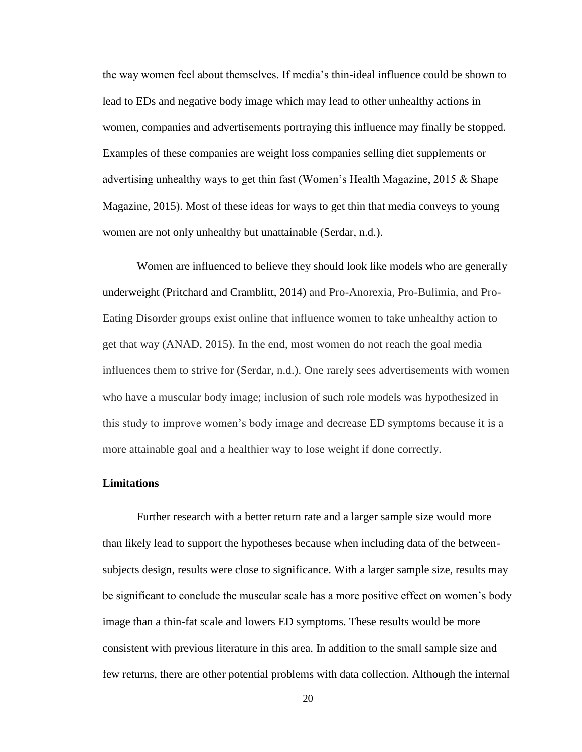the way women feel about themselves. If media's thin-ideal influence could be shown to lead to EDs and negative body image which may lead to other unhealthy actions in women, companies and advertisements portraying this influence may finally be stopped. Examples of these companies are weight loss companies selling diet supplements or advertising unhealthy ways to get thin fast (Women's Health Magazine, 2015 & Shape Magazine, 2015). Most of these ideas for ways to get thin that media conveys to young women are not only unhealthy but unattainable (Serdar, n.d.).

Women are influenced to believe they should look like models who are generally underweight (Pritchard and Cramblitt, 2014) and Pro-Anorexia, Pro-Bulimia, and Pro-Eating Disorder groups exist online that influence women to take unhealthy action to get that way (ANAD, 2015). In the end, most women do not reach the goal media influences them to strive for (Serdar, n.d.). One rarely sees advertisements with women who have a muscular body image; inclusion of such role models was hypothesized in this study to improve women's body image and decrease ED symptoms because it is a more attainable goal and a healthier way to lose weight if done correctly.

#### **Limitations**

Further research with a better return rate and a larger sample size would more than likely lead to support the hypotheses because when including data of the betweensubjects design, results were close to significance. With a larger sample size, results may be significant to conclude the muscular scale has a more positive effect on women's body image than a thin-fat scale and lowers ED symptoms. These results would be more consistent with previous literature in this area. In addition to the small sample size and few returns, there are other potential problems with data collection. Although the internal

20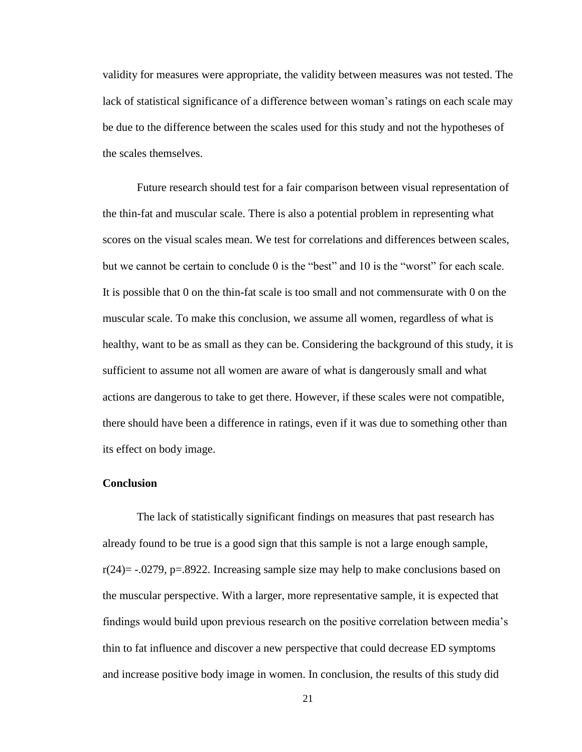validity for measures were appropriate, the validity between measures was not tested. The lack of statistical significance of a difference between woman's ratings on each scale may be due to the difference between the scales used for this study and not the hypotheses of the scales themselves.

Future research should test for a fair comparison between visual representation of the thin-fat and muscular scale. There is also a potential problem in representing what scores on the visual scales mean. We test for correlations and differences between scales, but we cannot be certain to conclude 0 is the "best" and 10 is the "worst" for each scale. It is possible that 0 on the thin-fat scale is too small and not commensurate with 0 on the muscular scale. To make this conclusion, we assume all women, regardless of what is healthy, want to be as small as they can be. Considering the background of this study, it is sufficient to assume not all women are aware of what is dangerously small and what actions are dangerous to take to get there. However, if these scales were not compatible, there should have been a difference in ratings, even if it was due to something other than its effect on body image.

#### **Conclusion**

The lack of statistically significant findings on measures that past research has already found to be true is a good sign that this sample is not a large enough sample,  $r(24) = -0.0279$ , p=.8922. Increasing sample size may help to make conclusions based on the muscular perspective. With a larger, more representative sample, it is expected that findings would build upon previous research on the positive correlation between media's thin to fat influence and discover a new perspective that could decrease ED symptoms and increase positive body image in women. In conclusion, the results of this study did

21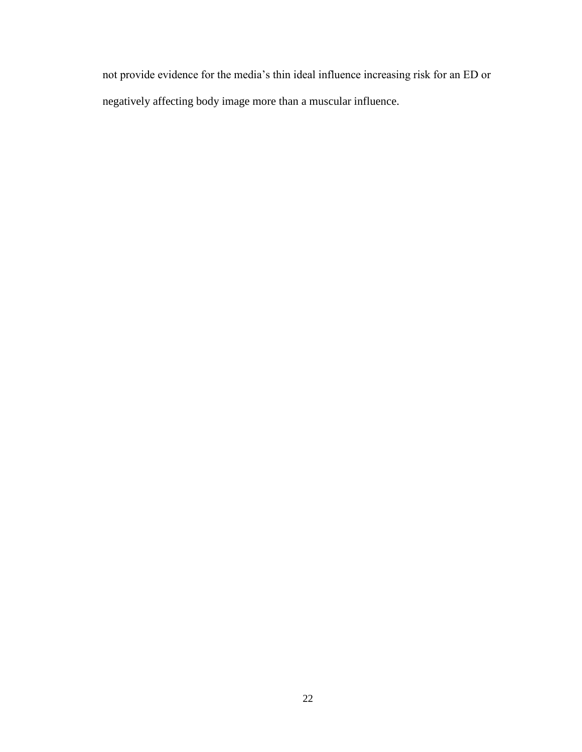not provide evidence for the media's thin ideal influence increasing risk for an ED or negatively affecting body image more than a muscular influence.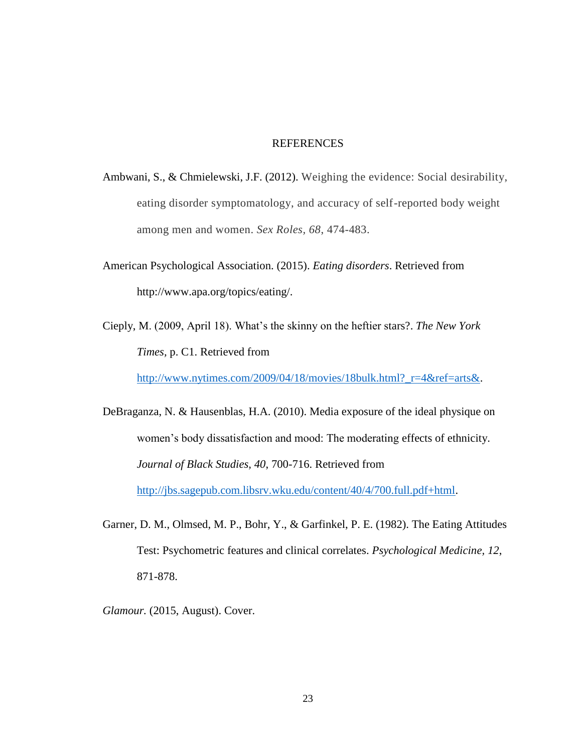#### REFERENCES

- Ambwani, S., & Chmielewski, J.F. (2012). Weighing the evidence: Social desirability, eating disorder symptomatology, and accuracy of self-reported body weight among men and women. *Sex Roles, 68*, 474-483.
- American Psychological Association. (2015). *Eating disorders*. Retrieved from http://www.apa.org/topics/eating/.
- Cieply, M. (2009, April 18). What's the skinny on the heftier stars?. *The New York Times,* p. C1. Retrieved from

[http://www.nytimes.com/2009/04/18/movies/18bulk.html?\\_r=4&ref=arts&.](http://www.nytimes.com/2009/04/18/movies/18bulk.html?_r=4&ref=arts&)

DeBraganza, N. & Hausenblas, H.A. (2010). Media exposure of the ideal physique on women's body dissatisfaction and mood: The moderating effects of ethnicity. *Journal of Black Studies, 40*, 700-716. Retrieved from [http://jbs.sagepub.com.libsrv.wku.edu/content/40/4/700.full.pdf+html.](http://jbs.sagepub.com.libsrv.wku.edu/content/40/4/700.full.pdf+html)

Garner, D. M., Olmsed, M. P., Bohr, Y., & Garfinkel, P. E. (1982). The Eating Attitudes Test: Psychometric features and clinical correlates. *Psychological Medicine, 12*, 871-878.

*Glamour.* (2015, August). Cover.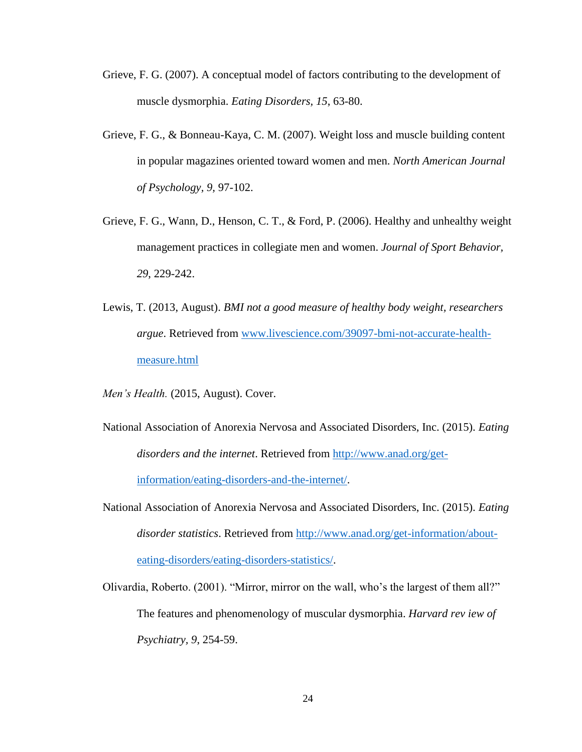- Grieve, F. G. (2007). A conceptual model of factors contributing to the development of muscle dysmorphia. *Eating Disorders, 15*, 63-80.
- Grieve, F. G., & Bonneau-Kaya, C. M. (2007). Weight loss and muscle building content in popular magazines oriented toward women and men. *North American Journal of Psychology, 9,* 97-102.
- Grieve, F. G., Wann, D., Henson, C. T., & Ford, P. (2006). Healthy and unhealthy weight management practices in collegiate men and women. *Journal of Sport Behavior, 29*, 229-242.
- Lewis, T. (2013, August). *BMI not a good measure of healthy body weight, researchers argue*. Retrieved from [www.livescience.com/39097-bmi-not-accurate-health](http://www.livescience.com/39097-bmi-not-accurate-health-measure.html)[measure.html](http://www.livescience.com/39097-bmi-not-accurate-health-measure.html)
- *Men's Health.* (2015, August). Cover.
- National Association of Anorexia Nervosa and Associated Disorders, Inc. (2015). *Eating disorders and the internet*. Retrieved from [http://www.anad.org/get](http://www.anad.org/get-information/eating-disorders-and-the-internet/)[information/eating-disorders-and-the-internet/.](http://www.anad.org/get-information/eating-disorders-and-the-internet/)
- National Association of Anorexia Nervosa and Associated Disorders, Inc. (2015). *Eating disorder statistics*. Retrieved from [http://www.anad.org/get-information/about](http://www.anad.org/get-information/about-eating-disorders/eating-disorders-statistics/)[eating-disorders/eating-disorders-statistics/.](http://www.anad.org/get-information/about-eating-disorders/eating-disorders-statistics/)
- Olivardia, Roberto. (2001). "Mirror, mirror on the wall, who's the largest of them all?" The features and phenomenology of muscular dysmorphia. *Harvard rev iew of Psychiatry, 9*, 254-59.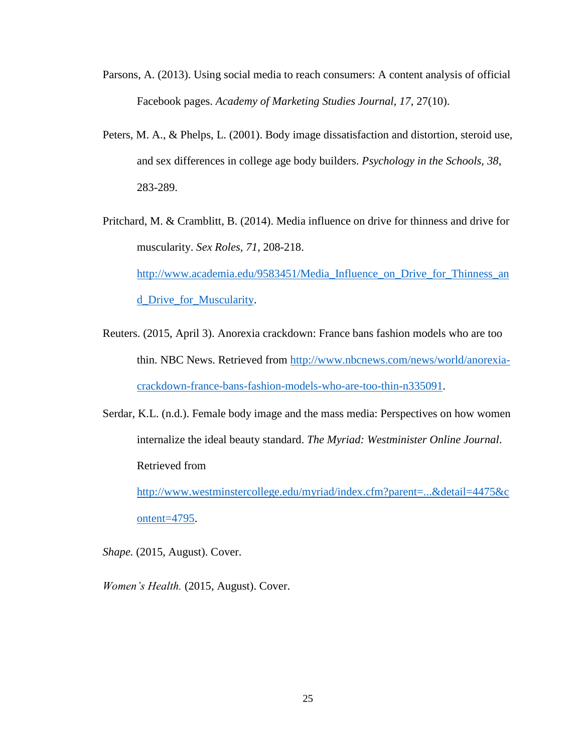- Parsons, A. (2013). Using social media to reach consumers: A content analysis of official Facebook pages. *Academy of Marketing Studies Journal, 17*, 27(10).
- Peters, M. A., & Phelps, L. (2001). Body image dissatisfaction and distortion, steroid use, and sex differences in college age body builders. *Psychology in the Schools, 38*, 283-289.
- Pritchard, M. & Cramblitt, B. (2014). Media influence on drive for thinness and drive for muscularity. *Sex Roles, 71*, 208-218. [http://www.academia.edu/9583451/Media\\_Influence\\_on\\_Drive\\_for\\_Thinness\\_an](http://www.academia.edu/9583451/Media_Influence_on_Drive_for_Thinness_and_Drive_for_Muscularity) [d\\_Drive\\_for\\_Muscularity.](http://www.academia.edu/9583451/Media_Influence_on_Drive_for_Thinness_and_Drive_for_Muscularity)
- Reuters. (2015, April 3). Anorexia crackdown: France bans fashion models who are too thin. NBC News. Retrieved from [http://www.nbcnews.com/news/world/anorexia](http://www.nbcnews.com/news/world/anorexia-crackdown-france-bans-fashion-models-who-are-too-thin-n335091)[crackdown-france-bans-fashion-models-who-are-too-thin-n335091.](http://www.nbcnews.com/news/world/anorexia-crackdown-france-bans-fashion-models-who-are-too-thin-n335091)
- Serdar, K.L. (n.d.). Female body image and the mass media: Perspectives on how women internalize the ideal beauty standard. *The Myriad: Westminister Online Journal*. Retrieved from

[http://www.westminstercollege.edu/myriad/index.cfm?parent=...&detail=4475&c](http://www.westminstercollege.edu/myriad/index.cfm?parent=...&detail=4475&content=4795) [ontent=4795.](http://www.westminstercollege.edu/myriad/index.cfm?parent=...&detail=4475&content=4795)

*Shape.* (2015, August). Cover.

*Women's Health.* (2015, August). Cover.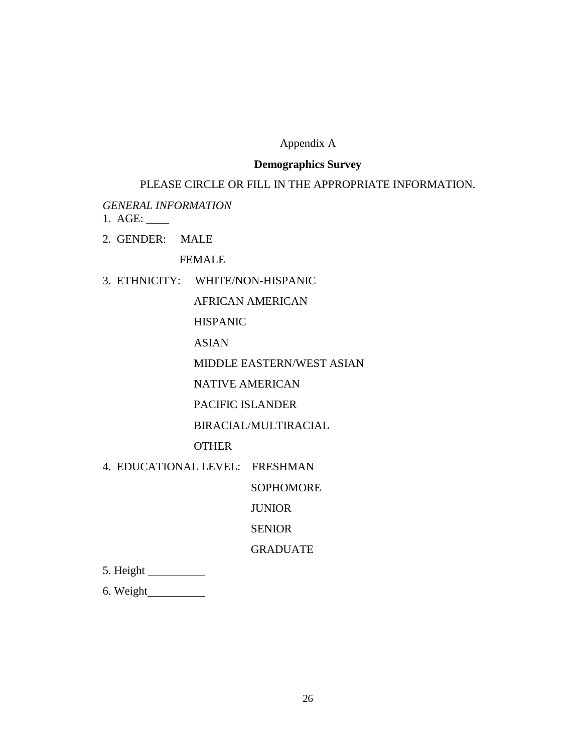## Appendix A

### **Demographics Survey**

### PLEASE CIRCLE OR FILL IN THE APPROPRIATE INFORMATION.

*GENERAL INFORMATION*

- 1. AGE: \_\_\_\_
- 2. GENDER: MALE

FEMALE

#### 3. ETHNICITY: WHITE/NON-HISPANIC

AFRICAN AMERICAN

HISPANIC

ASIAN

MIDDLE EASTERN/WEST ASIAN

NATIVE AMERICAN

PACIFIC ISLANDER

BIRACIAL/MULTIRACIAL

OTHER

4. EDUCATIONAL LEVEL: FRESHMAN

SOPHOMORE

JUNIOR

SENIOR

GRADUATE

5. Height

6. Weight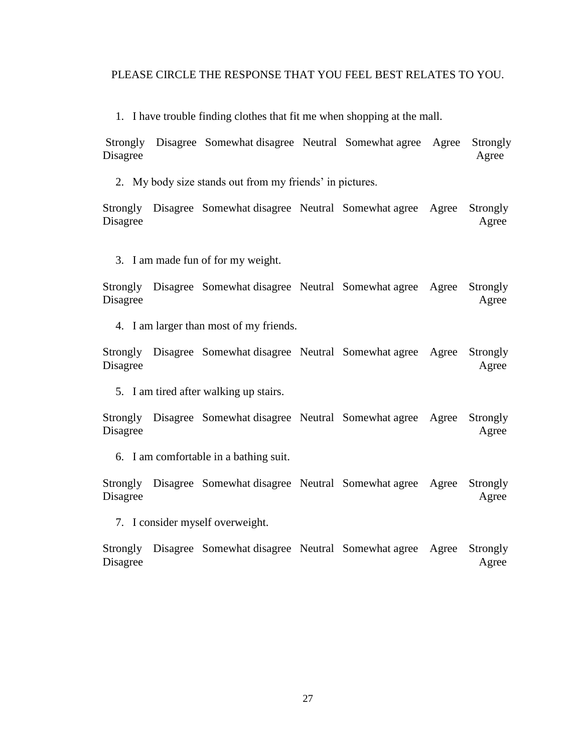#### PLEASE CIRCLE THE RESPONSE THAT YOU FEEL BEST RELATES TO YOU.

1. I have trouble finding clothes that fit me when shopping at the mall.

Strongly Disagree Somewhat disagree Neutral Somewhat agree Agree Strongly Disagree Agree

2. My body size stands out from my friends' in pictures.

Strongly Disagree Somewhat disagree Neutral Somewhat agree Agree Strongly Disagree Agree

3. I am made fun of for my weight.

Strongly Disagree Somewhat disagree Neutral Somewhat agree Agree Strongly Disagree Agree

4. I am larger than most of my friends.

Strongly Disagree Somewhat disagree Neutral Somewhat agree Agree Strongly Disagree Agree

5. I am tired after walking up stairs.

Strongly Disagree Somewhat disagree Neutral Somewhat agree Agree Strongly Disagree Agree

6. I am comfortable in a bathing suit.

Strongly Disagree Somewhat disagree Neutral Somewhat agree Agree Strongly Disagree Agree

7. I consider myself overweight.

Strongly Disagree Somewhat disagree Neutral Somewhat agree Agree Strongly Disagree Agree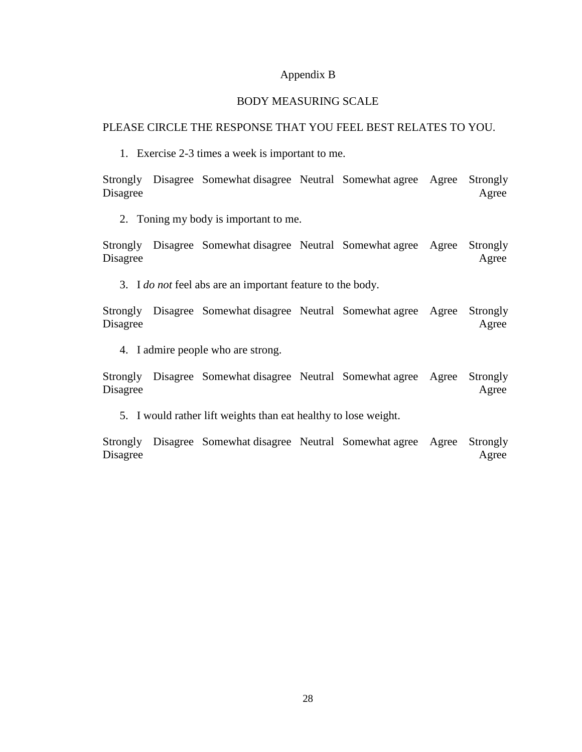#### Appendix B

#### BODY MEASURING SCALE

#### PLEASE CIRCLE THE RESPONSE THAT YOU FEEL BEST RELATES TO YOU.

1. Exercise 2-3 times a week is important to me.

Strongly Disagree Somewhat disagree Neutral Somewhat agree Agree Strongly Disagree Agree

2. Toning my body is important to me.

Strongly Disagree Somewhat disagree Neutral Somewhat agree Agree Strongly Disagree Agree

3. I *do not* feel abs are an important feature to the body.

Strongly Disagree Somewhat disagree Neutral Somewhat agree Agree Strongly Disagree Agree

4. I admire people who are strong.

Strongly Disagree Somewhat disagree Neutral Somewhat agree Agree Strongly Disagree Agree

5. I would rather lift weights than eat healthy to lose weight.

Strongly Disagree Somewhat disagree Neutral Somewhat agree Agree Strongly Disagree Agree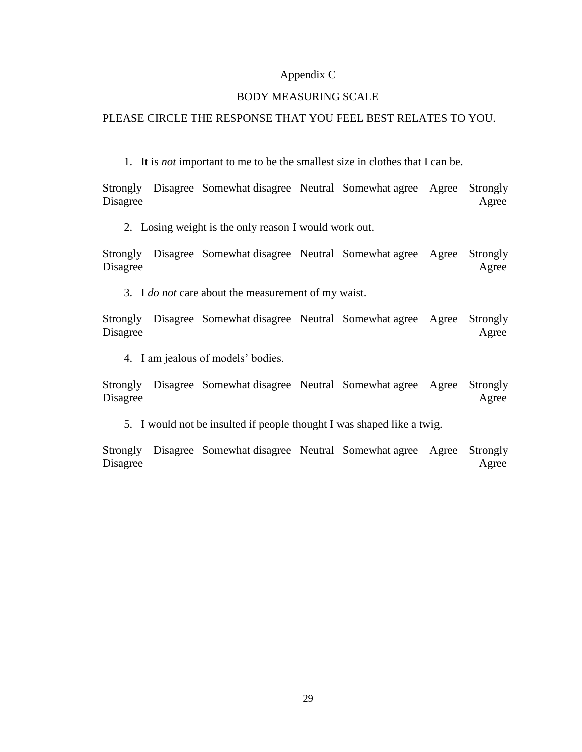#### Appendix C

#### BODY MEASURING SCALE

#### PLEASE CIRCLE THE RESPONSE THAT YOU FEEL BEST RELATES TO YOU.

1. It is *not* important to me to be the smallest size in clothes that I can be.

Strongly Disagree Somewhat disagree Neutral Somewhat agree Agree Strongly Disagree Agree

2. Losing weight is the only reason I would work out.

Strongly Disagree Somewhat disagree Neutral Somewhat agree Agree Strongly Disagree Agree

3. I *do not* care about the measurement of my waist.

Strongly Disagree Somewhat disagree Neutral Somewhat agree Agree Strongly Disagree Agree

4. I am jealous of models' bodies.

Strongly Disagree Somewhat disagree Neutral Somewhat agree Agree Strongly Disagree Agree

5. I would not be insulted if people thought I was shaped like a twig.

Strongly Disagree Somewhat disagree Neutral Somewhat agree Agree Strongly Disagree Agree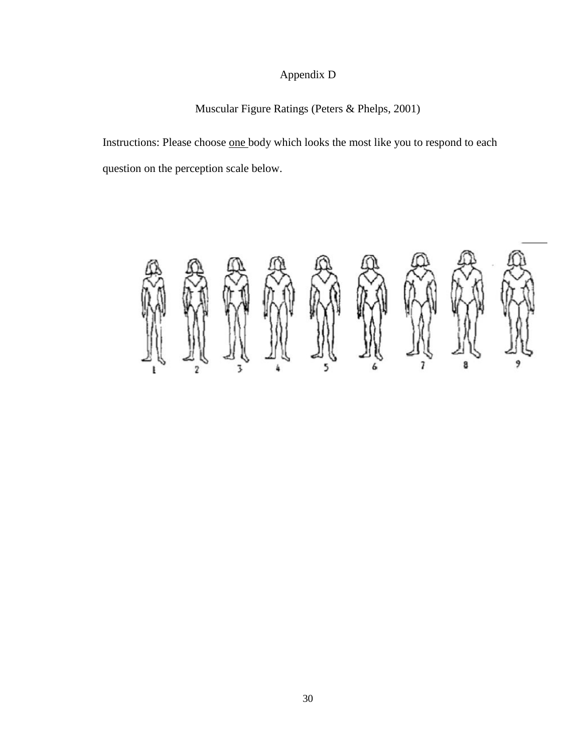# Appendix D

# Muscular Figure Ratings (Peters & Phelps, 2001)

Instructions: Please choose one body which looks the most like you to respond to each question on the perception scale below.

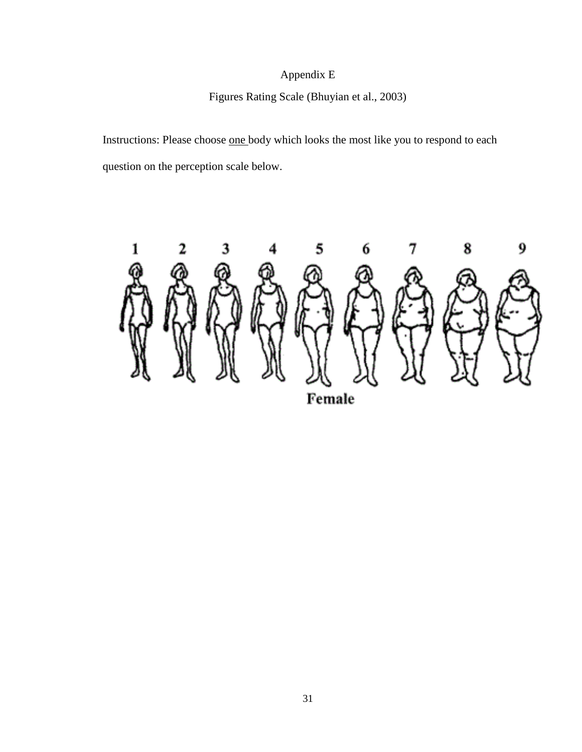# Appendix E

# Figures Rating Scale (Bhuyian et al., 2003)

Instructions: Please choose one body which looks the most like you to respond to each question on the perception scale below.

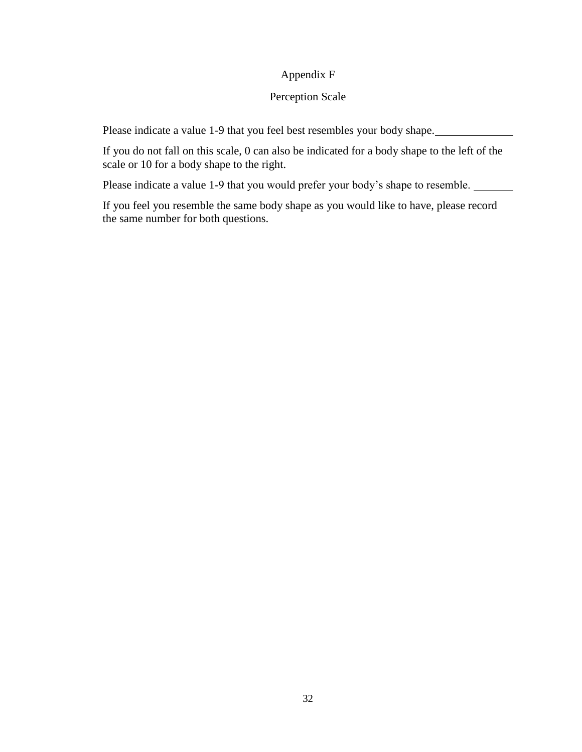### Appendix F

### Perception Scale

Please indicate a value 1-9 that you feel best resembles your body shape.

If you do not fall on this scale, 0 can also be indicated for a body shape to the left of the scale or 10 for a body shape to the right.

Please indicate a value 1-9 that you would prefer your body's shape to resemble.

If you feel you resemble the same body shape as you would like to have, please record the same number for both questions.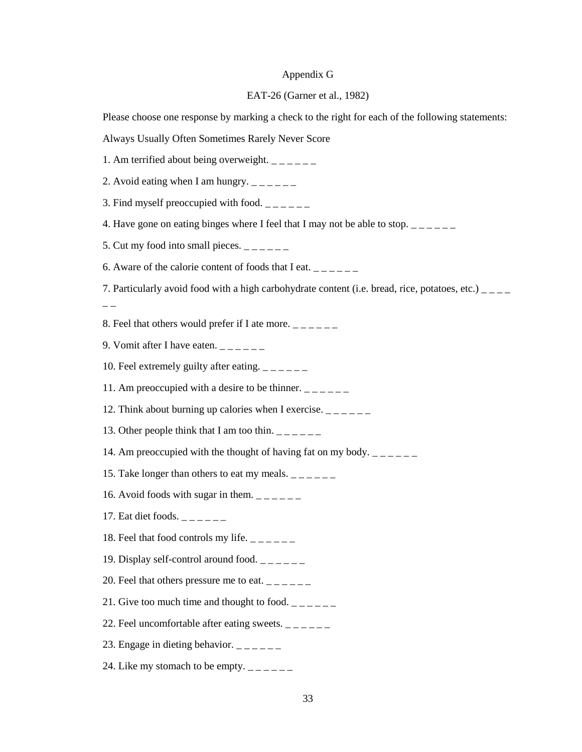# Appendix G

### EAT-26 (Garner et al., 1982)

| Please choose one response by marking a check to the right for each of the following statements:             |
|--------------------------------------------------------------------------------------------------------------|
| Always Usually Often Sometimes Rarely Never Score                                                            |
| 1. Am terrified about being overweight. $\frac{1}{2}$ = $\frac{1}{2}$ = $\frac{1}{2}$                        |
| 2. Avoid eating when I am hungry. $\frac{1}{2}$ = $\frac{1}{2}$ = $\frac{1}{2}$                              |
| 3. Find myself preoccupied with food. $\frac{1}{2}$ $\frac{1}{2}$ $\frac{1}{2}$                              |
| 4. Have gone on eating binges where I feel that I may not be able to stop. $\frac{1}{2}$                     |
| 5. Cut my food into small pieces. $\frac{1}{2}$ = $\frac{1}{2}$ = $\frac{1}{2}$                              |
| 6. Aware of the calorie content of foods that I eat. $\frac{1}{2}$                                           |
| 7. Particularly avoid food with a high carbohydrate content (i.e. bread, rice, potatoes, etc.) $\frac{1}{2}$ |
|                                                                                                              |
| 8. Feel that others would prefer if I ate more. $\frac{1}{1}$ = $\frac{1}{1}$ = $\frac{1}{1}$                |
| 9. Vomit after I have eaten. $\frac{1}{2}$ = $\frac{1}{2}$ = $\frac{1}{2}$                                   |
| 10. Feel extremely guilty after eating. $\frac{1}{2}$ = $\frac{1}{2}$ = $\frac{1}{2}$                        |
| 11. Am preoccupied with a desire to be thinner. $\frac{1}{1}$                                                |
| 12. Think about burning up calories when I exercise. $\frac{1}{1}$                                           |
| 13. Other people think that I am too thin. $\frac{1}{2}$                                                     |
| 14. Am preoccupied with the thought of having fat on my body. $\frac{1}{2}$                                  |
| 15. Take longer than others to eat my meals. $\frac{1}{2}$                                                   |
| 16. Avoid foods with sugar in them. $\frac{1}{2}$                                                            |
| 17. Eat diet foods. $-\frac{1}{2}$                                                                           |
| 18. Feel that food controls my life. $\frac{1}{2}$                                                           |
| 19. Display self-control around food. $\frac{1}{2}$                                                          |
| 20. Feel that others pressure me to eat. $\frac{1}{1}$                                                       |
| 21. Give too much time and thought to food. $\frac{1}{2}$                                                    |
| 22. Feel uncomfortable after eating sweets. $\frac{1}{2}$                                                    |
| 23. Engage in dieting behavior. $\frac{1}{2}$ = $\frac{1}{2}$ = $\frac{1}{2}$                                |
| 24. Like my stomach to be empty. $\frac{1}{2}$ = $\frac{1}{2}$ = $\frac{1}{2}$                               |